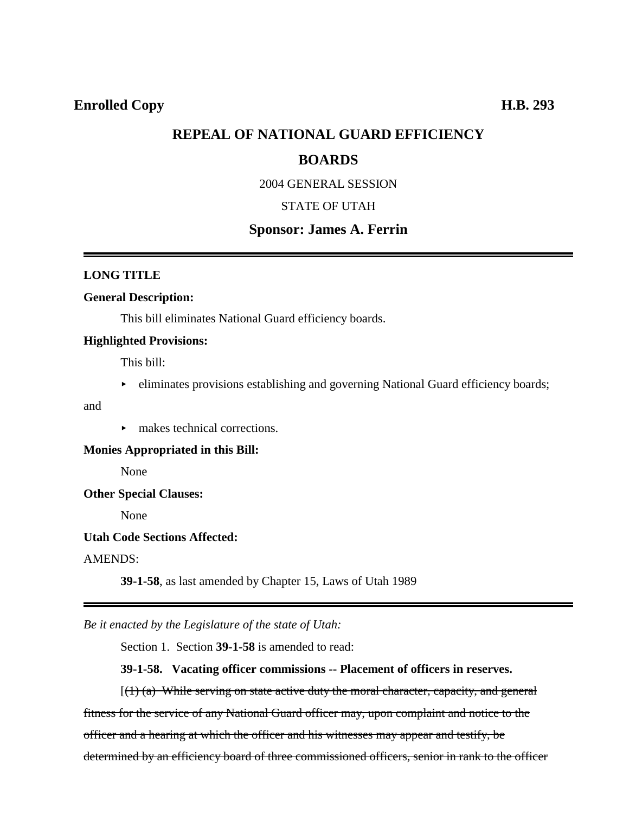# **REPEAL OF NATIONAL GUARD EFFICIENCY**

# **BOARDS**

2004 GENERAL SESSION

# STATE OF UTAH

## **Sponsor: James A. Ferrin**

### **LONG TITLE**

### **General Description:**

This bill eliminates National Guard efficiency boards.

### **Highlighted Provisions:**

This bill:

• eliminates provisions establishing and governing National Guard efficiency boards;

and

 $\blacktriangleright$  makes technical corrections.

**Monies Appropriated in this Bill:**

None

## **Other Special Clauses:**

None

### **Utah Code Sections Affected:**

AMENDS:

**39-1-58**, as last amended by Chapter 15, Laws of Utah 1989

*Be it enacted by the Legislature of the state of Utah:*

Section 1. Section **39-1-58** is amended to read:

## **39-1-58. Vacating officer commissions -- Placement of officers in reserves.**

 $[(1)$  (a) While serving on state active duty the moral character, capacity, and general fitness for the service of any National Guard officer may, upon complaint and notice to the officer and a hearing at which the officer and his witnesses may appear and testify, be determined by an efficiency board of three commissioned officers, senior in rank to the officer